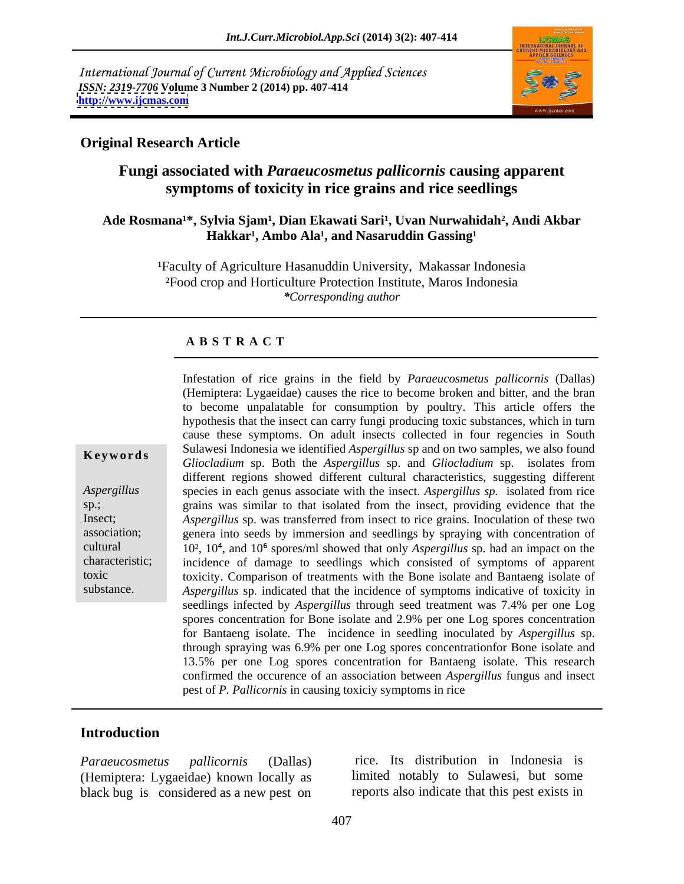International Journal of Current Microbiology and Applied Sciences *ISSN: 2319-7706* **Volume 3 Number 2 (2014) pp. 407-414 <http://www.ijcmas.com>**



## **Original Research Article**

# **Fungi associated with** *Paraeucosmetus pallicornis* **causing apparent symptoms of toxicity in rice grains and rice seedlings**

#### Ade Rosmana<sup>1\*</sup>, Sylvia Sjam<sup>1</sup>, Dian Ekawati Sari<sup>1</sup>, Uvan Nurwahidah<sup>2</sup>, Andi Akbar Hakkar<sup>1</sup>, Ambo Ala<sup>1</sup>, and Nasaruddin Gassing<sup>1</sup>

<sup>1</sup>Faculty of Agriculture Hasanuddin University, Makassar Indonesia ²Food crop and Horticulture Protection Institute, Maros Indonesia *\*Corresponding author*

#### **A B S T R A C T**

**Ke ywo rds** *Gliocladium* sp. Both the *Aspergillus* sp. and *Gliocladium* sp. isolates from *Aspergillus* species in each genus associate with the insect. *Aspergillus sp.* isolated from rice sp.; grains was similar to that isolated from the insect, providing evidence that the Insect; *Aspergillus* sp. was transferred from insect to rice grains. Inoculation of these two association; genera into seeds by immersion and seedlings by spraying with concentration of cultural 10<sup>2</sup>, 10<sup>4</sup>, and 10<sup>6</sup> spores/ml showed that only *Aspergillus* sp. had an impact on the characteristic; incidence of damage to seedlings which consisted of symptoms of apparent toxic toxicity. Comparison of treatments with the Bone isolate and Bantaeng isolate of substance. Aspergillus sp. indicated that the incidence of symptoms indicative of toxicity in Infestation of rice grains in the field by *Paraeucosmetus pallicornis* (Dallas) (Hemiptera: Lygaeidae) causes the rice to become broken and bitter, and the bran to become unpalatable for consumption by poultry. This article offers the hypothesis that the insect can carry fungi producing toxic substances, which in turn cause these symptoms. On adult insects collected in four regencies in South Sulawesi Indonesia we identified *Aspergillus* sp and on two samples, we also found different regions showed different cultural characteristics, suggesting different seedlings infected by *Aspergillus* through seed treatment was 7.4% per one Log spores concentration for Bone isolate and 2.9% per one Log spores concentration for Bantaeng isolate. The incidence in seedling inoculated by *Aspergillus* sp. through spraying was 6.9% per one Log spores concentrationfor Bone isolate and 13.5% per one Log spores concentration for Bantaeng isolate. This research confirmed the occurence of an association between *Aspergillus* fungus and insect pest of *P. Pallicornis* in causing toxiciy symptoms in rice

### **Introduction**

(Hemiptera: Lygaeidae) known locally as black bug is considered as a new pest on

*Paraeucosmetus pallicornis* (Dallas) rice. Its distribution in Indonesia is limited notably to Sulawesi, but some reports also indicate that this pest exists in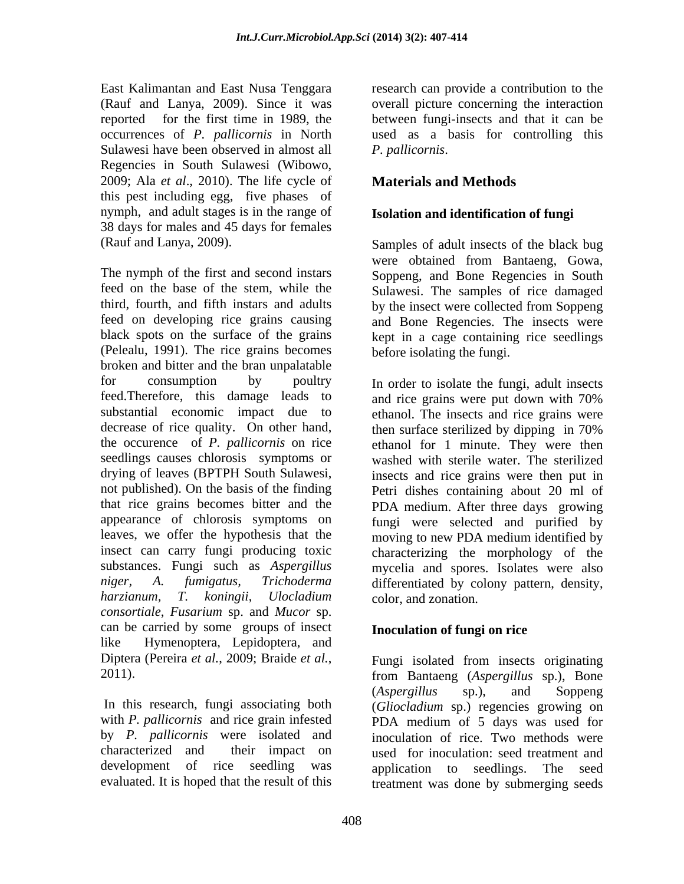Sulawesi have been observed in almost all *P. pallicornis.* Regencies in South Sulawesi (Wibowo, 2009; Ala *et al*., 2010). The life cycle of this pest including egg, five phases of nymph, and adult stages is in the range of 38 days for males and 45 days for females

The nymph of the first and second instars Soppeng, and Bone Regencies in South feed on the base of the stem, while the Sulawesi. The samples of rice damaged third, fourth, and fifth instars and adults by the insect were collected from Soppeng feed on developing rice grains causing black spots on the surface of the grains kept in a cage containing rice seedlings (Pelealu, 1991). The rice grains becomes broken and bitter and the bran unpalatable for consumption by poultry In order to isolate the fungi, adult insects feed.Therefore, this damage leads to and rice grains were put down with 70% substantial economic impact due to ethanol. The insects and rice grains were decrease of rice quality. On other hand, then surface sterilized by dipping in 70% the occurence of *P. pallicornis* on rice ethanol for 1 minute. They were then seedlings causes chlorosis symptoms or washed with sterile water. The sterilized drying of leaves (BPTPH South Sulawesi, not published). On the basis of the finding Petri dishes containing about 20 ml of that rice grains becomes bitter and the PDA medium. After three days growing appearance of chlorosis symptoms on fungi were selected and purified by leaves, we offer the hypothesis that the moving to new PDA medium identified by insect can carry fungi producing toxic characterizing the morphology of the substances. Fungi such as *Aspergillus*  mycelia and spores. Isolates were also *niger, A. fumigatus, Trichoderma* differentiated by colony pattern, density, *harzianum, T. koningii*, *Ulocladium*  color, and zonation. *consortiale*, *Fusarium* sp. and *Mucor* sp. can be carried by some groups of insect like Hymenoptera, Lepidoptera, and

East Kalimantan and East Nusa Tenggara research can provide a contribution to the (Rauf and Lanya, 2009). Since it was overall picture concerning the interaction reported for the first time in 1989, the between fungi-insects and that it can be occurrences of *P. pallicornis* in North used as a basis for controlling this *P. pallicornis*.

# **Materials and Methods**

## **Isolation and identification of fungi**

(Rauf and Lanya, 2009). Samples of adult insects of the black bug were obtained from Bantaeng, Gowa, and Bone Regencies. The insects were before isolating the fungi.

> then surface sterilized by dipping in 70% insects and rice grains were then put in

### **Inoculation of fungi on rice**

Diptera (Pereira *et al.*, 2009; Braide *et al.*, <br>2011). <br>From Bantaeng *(Aspergillus sp.)*. Bone In this research, fungi associating both (*Gliocladium* sp.) regencies growing on with *P. pallicornis* and rice grain infested PDA medium of 5 days was used for by *P. pallicornis* were isolated and inoculation of rice. Two methods were characterized and their impact on used for inoculation: seed treatment and development of rice seedling was application to seedlings. The seed evaluated. It is hoped that the result of this treatment was done by submerging seedsFungi isolated from insects originating from Bantaeng (*Aspergillus* sp.), Bone (*Aspergillus* sp.), and Soppeng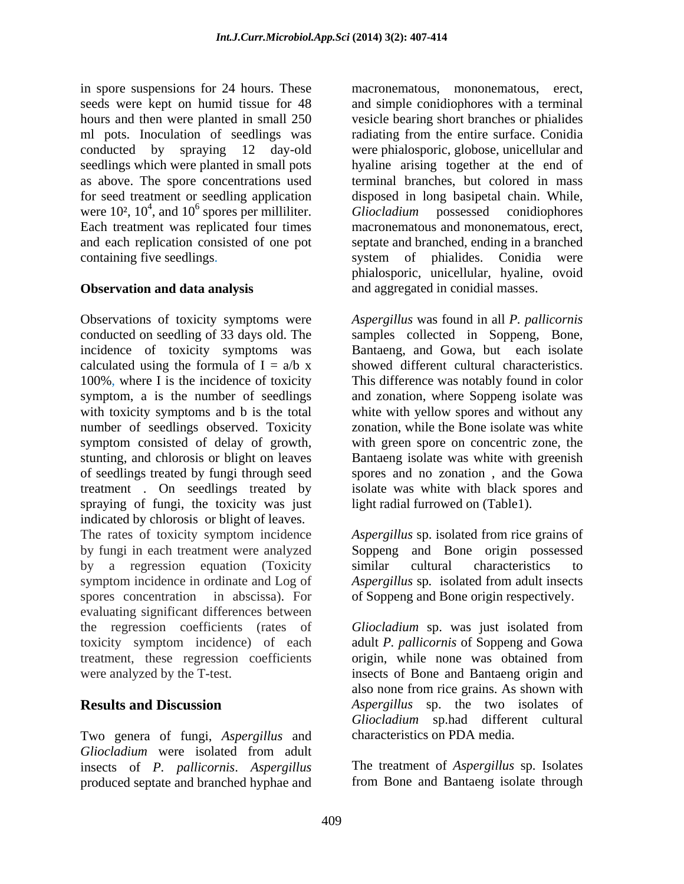in spore suspensions for 24 hours. These seeds were kept on humid tissue for 48 and simple conidiophores with a terminal hours and then were planted in small 250 vesicle bearing short branches or phialides ml pots. Inoculation of seedlings was radiating from the entire surface. Conidia conducted by spraying 12 day-old were phialosporic, globose, unicellular and seedlings which were planted in small pots as above. The spore concentrations used terminal branches, but colored in mass for seed treatment or seedling application disposed in long basipetal chain. While, were  $10^2$ ,  $10^4$ , and  $10^6$  spores per milliliter. Gliocladium possessed conidiophores Each treatment was replicated four times macronematous and mononematous, erect, and each replication consisted of one pot septate and branched, ending in a branched containing five seedlings. The system of phialides. Conidia were

Observations of toxicity symptoms were *Aspergillus* was found in all *P. pallicornis* conducted on seedling of 33 days old. The samples collected in Soppeng, Bone, incidence of toxicity symptoms was Bantaeng, and Gowa, but each isolate calculated using the formula of  $I = a/b$  x 100%, where I is the incidence of toxicity symptom, a is the number of seedlings and zonation, where Soppeng isolate was with toxicity symptoms and b is the total white with yellow spores and without any number of seedlings observed. Toxicity symptom consisted of delay of growth, with green spore on concentric zone, the stunting, and chlorosis or blight on leaves of seedlings treated by fungi through seed treatment . On seedlings treated by isolate was white with black spores and spraying of fungi, the toxicity was just indicated by chlorosis or blight of leaves. The rates of toxicity symptom incidence *Aspergillus* sp. isolated from rice grains of by fungi in each treatment were analyzed Soppeng and Bone origin possessed by a regression equation (Toxicity similar cultural characteristics to symptom incidence in ordinate and Log of *Aspergillus* sp*.* isolated from adult insects spores concentration in abscissa). For of Soppeng and Bone origin respectively. evaluating significant differences between the regression coefficients (rates of *Gliocladium* sp. was just isolated from toxicity symptom incidence) of each adult *P. pallicornis* of Soppeng and Gowa treatment, these regression coefficients origin, while none was obtained from were analyzed by the T-test. insects of Bone and Bantaeng origin and

Two genera of fungi, *Aspergillus* and *Gliocladium* were isolated from adult insects of *P. pallicornis*. *Aspergillus* produced septate and branched hyphae and

Gliocladium possessed conidiophores **Observation and data analysis** and aggregated in conidial masses. macronematous, mononematous, erect, hyaline arising together at the end of *Gliocladium* possessed conidiophores phialosporic, unicellular, hyaline, ovoid

> showed different cultural characteristics. This difference was notably found in color zonation, while the Bone isolate was white Bantaeng isolate was white with greenish spores and no zonation , and the Gowa light radial furrowed on (Table1).

similar cultural characteristics to

**Results and Discussion** *Aspergillus* sp. the two isolates of origin, while none was obtained from also none from rice grains. As shown with *Gliocladium* sp.had different cultural characteristics on PDA media.

> The treatment of *Aspergillus* sp. Isolates from Bone and Bantaeng isolate through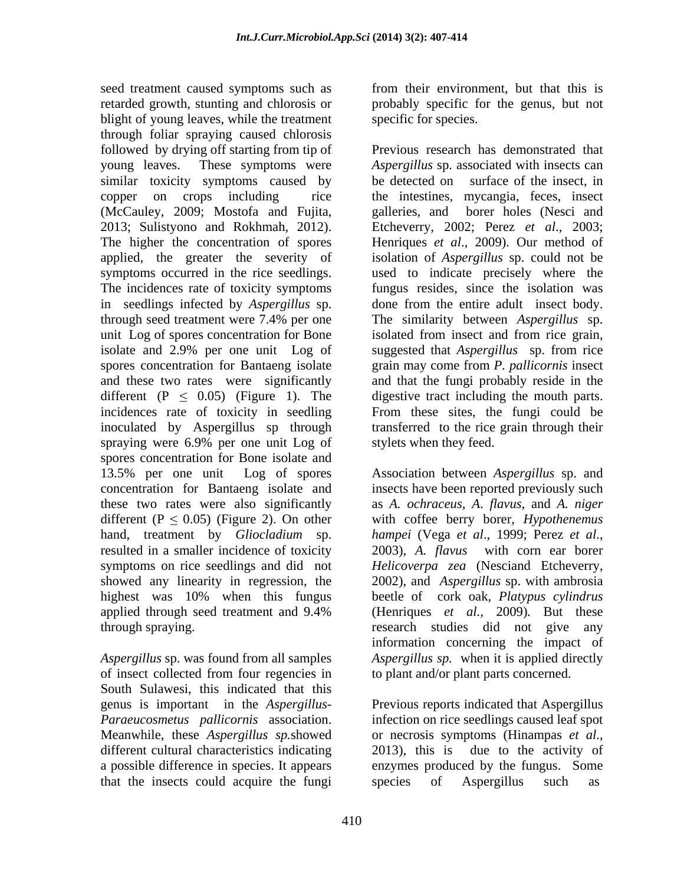seed treatment caused symptoms such as retarded growth, stunting and chlorosis or probably specific for the genus, but not blight of young leaves, while the treatment through foliar spraying caused chlorosis followed by drying off starting from tip of (McCauley, 2009; Mostofa and Fujita, in seedlings infected by *Aspergillus* sp. spores concentration for Bone isolate and 13.5% per one unit Log of spores Association between *Aspergillus* sp. and concentration for Bantaeng isolate and insects have been reported previously such these two rates were also significantly as *A. ochraceus, A*. *flavus*, and *A. niger* different  $(P \le 0.05)$  (Figure 2). On other with coffee berry borer, *Hypothenemus* hand, treatment by *Gliocladium* sp. *hampei* (Vega et al., 1999; Perez et al., resulted in a smaller incidence of toxicity 2003), A. flavus with corn ear borer symptoms on rice seedlings and did not *Helicoverpa zea* (Nesciand Etcheverry, showed any linearity in regression, the 2002), and *Aspergillus* sp. with ambrosia highest was 10% when this fungus beetle of cork oak, *Platypus cylindrus* applied through seed treatment and 9.4% (Henriques *et al.*, 2009). But these

of insect collected from four regencies in to plant and/or plant parts concerned. South Sulawesi, this indicated that this that the insects could acquire the fungi

from their environment, but that this is specific for species.

young leaves. These symptoms were *Aspergillus* sp. associated with insects can similar toxicity symptoms caused by be detected on surface of the insect, in copper on crops including rice the intestines, mycangia, feces, insect 2013; Sulistyono and Rokhmah, 2012). Etcheverry, 2002; Perez *et al*., 2003; The higher the concentration of spores Henriques *et al*., 2009). Our method of applied, the greater the severity of isolation of *Aspergillus* sp. could not be symptoms occurred in the rice seedlings. used to indicate precisely where the The incidences rate of toxicity symptoms fungus resides, since the isolation was through seed treatment were 7.4% per one The similarity between Aspergillus sp. unit Log of spores concentration for Bone isolated from insect and from rice grain, isolate and 2.9% per one unit Log of suggested that *Aspergillus* sp. from rice spores concentration for Bantaeng isolate grain may come from *P. pallicornis* insect and these two rates were significantly and that the fungi probably reside in the different  $(P \le 0.05)$  (Figure 1). The digestive tract including the mouth parts. incidences rate of toxicity in seedling From these sites, the fungi could be inoculated by Aspergillus sp through transferred to the rice grain through their spraying were 6.9% per one unit Log of stylets when they feed. Previous research has demonstrated that galleries, and borer holes (Nesci and done from the entire adult insect body. The similarity between *Aspergillus* sp. stylets when they feed.

through spraying. research studies did not give any *Aspergillus* sp. was found from all samples *Aspergillus sp.* when it is applied directly *hampei* (Vega *et al*., 1999; Perez *et al*., 2003), *A. flavus* with corn ear borer (Henriques *et al.,* 2009)*.* But these information concerning the impact of to plant and/or plant parts concerned.

genus is important in the *Aspergillus*- Previous reports indicated that Aspergillus *Paraeucosmetus pallicornis* association. infection on rice seedlings caused leaf spot Meanwhile, these *Aspergillus sp*.showed or necrosis symptoms (Hinampas *et al.*, different cultural characteristics indicating 2013), this is due to the activity of a possible difference in species. It appears enzymes produced by the fungus. Some or necrosis symptoms (Hinampas *et al*., 2013), this is due to the activity of Aspergillus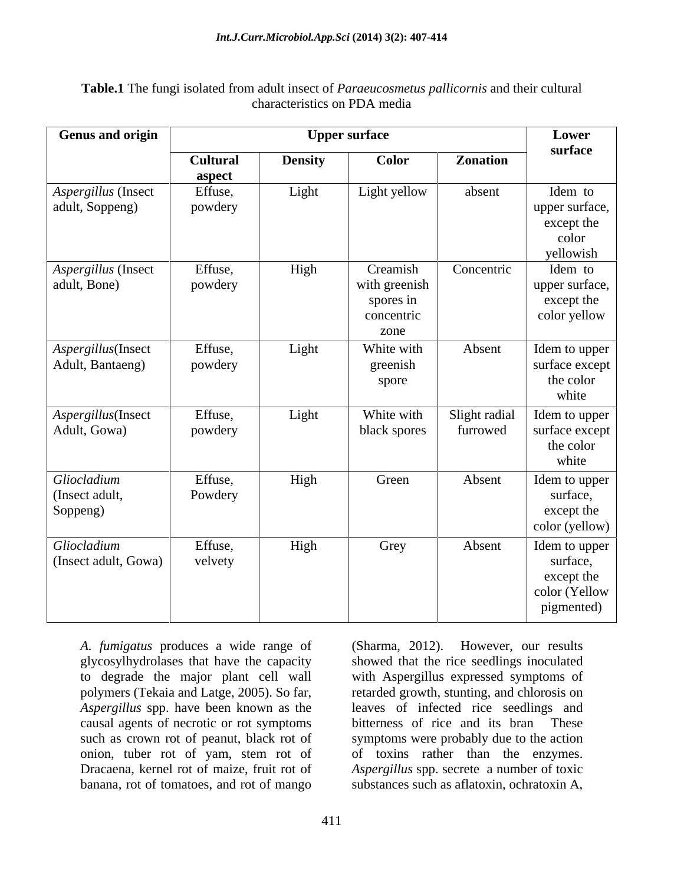| .<br><br>$\sim$<br>Table.1<br>i their cultural<br>tungi l<br>uult insect.<br>. ISOLATA .<br>ed from adu <sup>1</sup><br><sup>ct</sup> of <i>Paraeucosmetus pallicornis</i> and<br>.ne<br>14 U.C<br>$\blacksquare$ |  |
|-------------------------------------------------------------------------------------------------------------------------------------------------------------------------------------------------------------------|--|
| $\sim$ naracteristics on PDA $\sim$<br>media                                                                                                                                                                      |  |

| <b>Genus and origin</b> |                 |                | <b>Upper surface</b> |               | Lower            |
|-------------------------|-----------------|----------------|----------------------|---------------|------------------|
|                         | <b>Cultural</b> | <b>Density</b> | Color                | Zonation      | surface          |
|                         | aspect          |                |                      |               |                  |
| Aspergillus (Insect     | Effuse,         | Light          | Light yellow         | absent        | Idem to          |
| adult, Soppeng)         | powdery         |                |                      |               | upper surface,   |
|                         |                 |                |                      |               | except the       |
|                         |                 |                |                      |               | color            |
|                         |                 |                |                      |               | yellowish        |
| Aspergillus (Insect     | Effuse,         | High           | Creamish             | Concentric    | Idem to          |
| adult, Bone)            | powdery         |                | with greenish        |               | upper surface,   |
|                         |                 |                | spores in            |               | except the       |
|                         |                 |                | concentric           |               | color yellow     |
|                         |                 |                | zone                 |               |                  |
| Aspergillus(Insect      | Effuse,         | Light          | White with           | Absent        | Idem to upper    |
| Adult, Bantaeng)        | powdery         |                | greenish             |               | surface except 1 |
|                         |                 |                | spore                |               | the color        |
|                         |                 |                |                      |               | white            |
| Aspergillus(Insect      | Effuse,         | Light          | White with           | Slight radial | Idem to upper    |
| Adult, Gowa)            | powdery         |                | black spores         | furrowed      | surface except   |
|                         |                 |                |                      |               | the color        |
|                         |                 |                |                      |               | white            |
| Gliocladium             | Effuse,         | High           | Green                | Absent        | Idem to upper    |
| (Insect adult,          | Powdery         |                |                      |               | surface,         |
| Soppeng)                |                 |                |                      |               | except the       |
|                         |                 |                |                      |               | color (yellow)   |
| Gliocladium             | Effuse,         | High           | Grey                 | Absent        | Idem to upper    |
| (Insect adult, Gowa)    | velvety         |                |                      |               | surface,         |
|                         |                 |                |                      |               | except the       |
|                         |                 |                |                      |               | color (Yellow    |
|                         |                 |                |                      |               | pigmented)       |
|                         |                 |                |                      |               |                  |

*A. fumigatus* produces a wide range of glycosylhydrolases that have the capacity showed that the rice seedlings inoculated to degrade the major plant cell wall with Aspergillus expressed symptoms of polymers (Tekaia and Latge, 2005). So far, retarded growth, stunting, and chlorosis on *Aspergillus* spp. have been known as the causal agents of necrotic or rot symptoms causal agents of necrotic or rot symptoms bitterness of rice and its bran These such as crown rot of peanut, black rot of symptoms were probably due to the action onion, tuber rot of yam, stem rot of of toxins rather than the enzymes. Dracaena, kernel rot of maize, fruit rot of *Aspergillus* spp. secrete a number of toxic banana, rot of tomatoes, and rot of mango substances such as aflatoxin, ochratoxin A,

(Sharma, 2012). However, our results leaves of infected rice seedlings and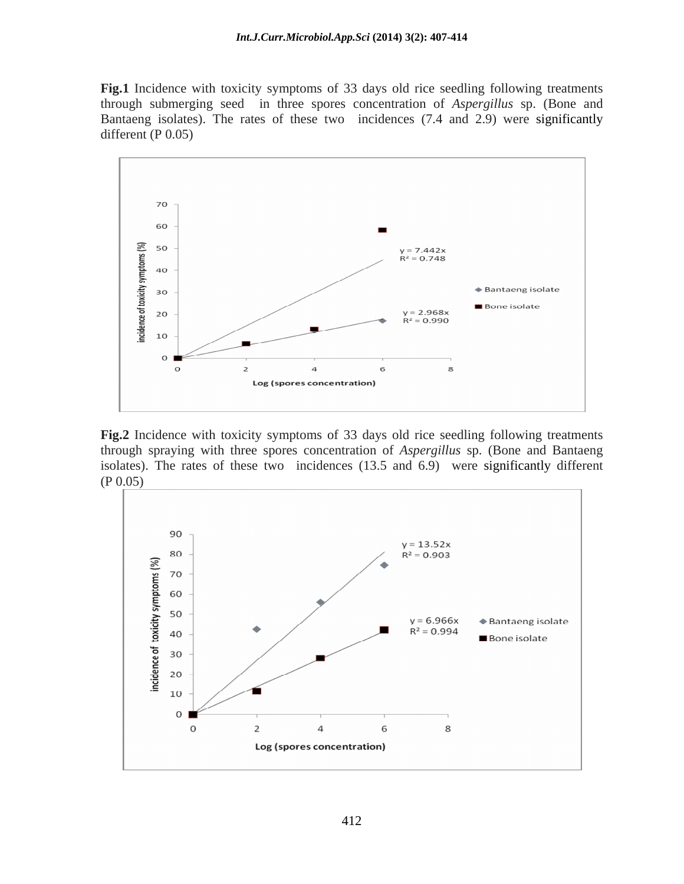**Fig.1** Incidence with toxicity symptoms of 33 days old rice seedling following treatments through submerging seed in three spores concentration of *Aspergillus* sp. (Bone and Bantaeng isolates). The rates of these two incidences (7.4 and 2.9) were significantly different (P 0.05)



**Fig.2** Incidence with toxicity symptoms of 33 days old rice seedling following treatments through spraying with three spores concentration of *Aspergillus* sp. (Bone and Bantaeng isolates). The rates of these two incidences (13.5 and 6.9) were significantly different (P  $0.05$ )

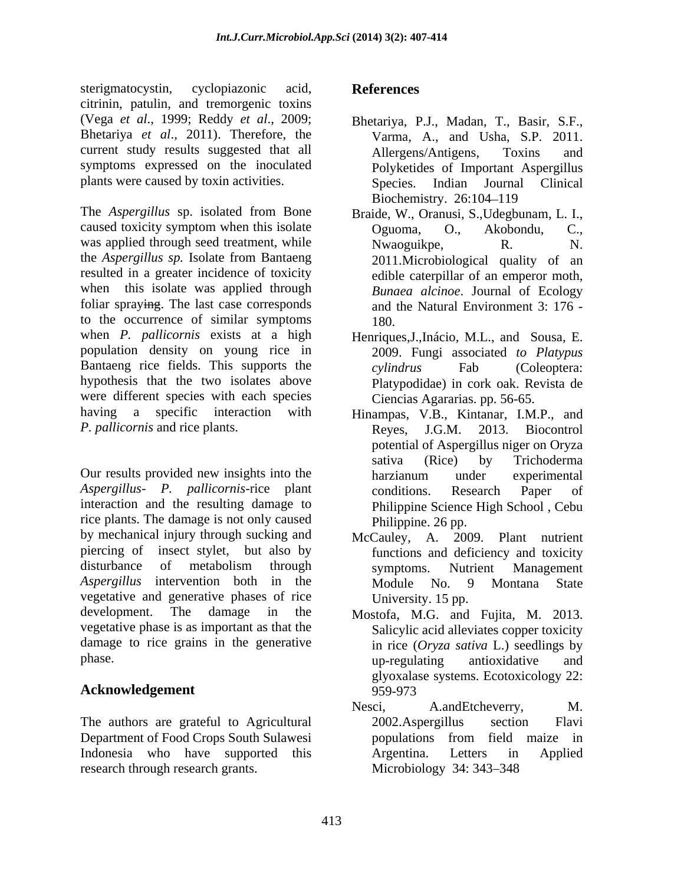sterigmatocystin, cyclopiazonic acid, **References** citrinin, patulin, and tremorgenic toxins (Vega *et al*., 1999; Reddy *et al*., 2009; Bhetariya, P.J., Madan, T., Basir, S.F., Bhetariya *et al*., 2011). Therefore, the current study results suggested that all Allergens/Antigens, Toxins and symptoms expressed on the inoculated plants were caused by toxin activities. Species.

The *Aspergillus* sp. isolated from Bone caused toxicity symptom when this isolate was applied through seed treatment, while Nwaoguikpe, R. N. the *Aspergillus sp.* Isolate from Bantaeng resulted in a greater incidence of toxicity when this isolate was applied through foliar spraying. The last case corresponds to the occurrence of similar symptoms when *P. pallicornis* exists at a high Henriques,J.,Inácio, M.L., and Sousa, E. population density on young rice in Bantaeng rice fields. This supports the cylindrus Fab (Coleoptera: hypothesis that the two isolates above were different species with each species having a specific interaction with Hinampas, V.B., Kintanar, I.M.P., and *P. pallicornis* and rice plants.

Our results provided new insights into the harzianum under experimental *Aspergillus*- *P. pallicornis*-rice plant interaction and the resulting damage to rice plants. The damage is not only caused by mechanical injury through sucking and McCauley, A. 2009. Plant nutrient piercing of insect stylet, but also by disturbance of metabolism through symptoms. Nutrient Management *Aspergillus* intervention both in the vegetative and generative phases of rice development. The damage in the Mostofa, M.G. and Fujita, M. 2013. vegetative phase is as important as that the damage to rice grains in the generative

# Acknowledgement 959-973

The authors are grateful to Agricultural 2002. Aspergillus section Flavi Department of Food Crops South Sulawesi Indonesia who have supported this Argentina. Letters in Applied research through research grants. Microbiology 34: 343–348

# **References**

- Varma, A., and Usha, S.P. 2011. Allergens/Antigens, Toxins and Polyketides of Important Aspergillus Indian Journal Clinical Biochemistry. 26:104-119
- Braide, W., Oranusi, S.,Udegbunam, L. I., Oguoma, O., Akobondu, C., Nwaoguikpe, R. N. 2011.Microbiological quality of an edible caterpillar of an emperor moth, *Bunaea alcinoe*. Journal of Ecology and the Natural Environment 3: 176 - 180.
- 2009. Fungi associated *to Platypus cylindrus* Fab (Coleoptera: Platypodidae) in cork oak. Revista de Ciencias Agararias. pp. 56-65.
- 2013. Biocontrol potential of Aspergillus niger on Oryza sativa (Rice) by Trichoderma harzianum under experimental conditions. Research Paper of Philippine Science High School , Cebu Philippine. 26 pp.
- functions and deficiency and toxicity symptoms. Nutrient Management Module No. 9 Montana State University. 15 pp.
- phase. The phase of the phase of the phase of the phase. The phase of the phase of the phase of the phase of the phase of the phase of the phase of the phase of the phase of the phase of the phase of the phase of the phase Salicylic acid alleviates copper toxicity in rice (*Oryza sativa* L.) seedlings by up-regulating antioxidative and glyoxalase systems. Ecotoxicology 22: 959-973
	- Nesci, A.andEtcheverry, M. 2002.Aspergillus section Flavi populations from field maize in Argentina. Letters in Applied Microbiology 34: 343–348